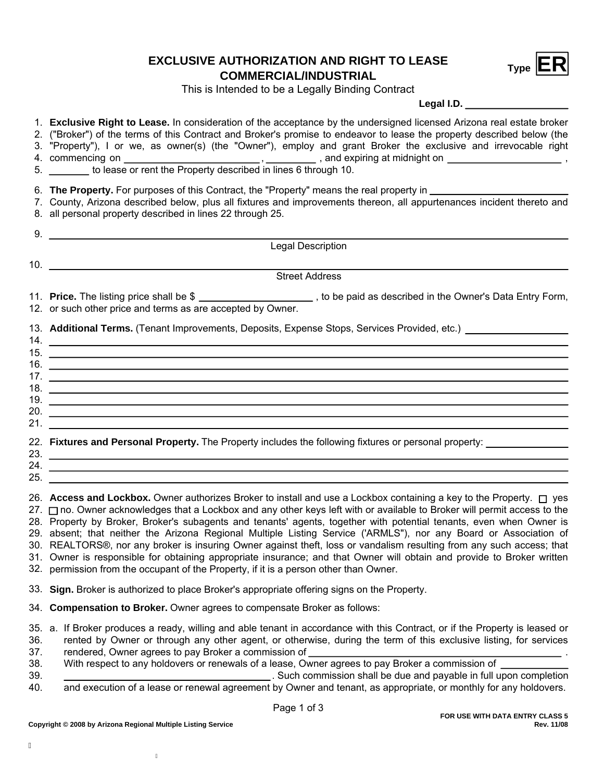## **Type EXCLUSIVE AUTHORIZATION AND RIGHT TO LEASE**<br>**COMMERCIAL/INDUSTRIAL**



This is Intended to be a Legally Binding Contract

**Legal I.D.**

|    | 2. ("Broker") of the terms of this Contract and Broker's promise to endeavor to lease the property described below (the |
|----|-------------------------------------------------------------------------------------------------------------------------|
|    | 3. "Property"), I or we, as owner(s) (the "Owner"), employ and grant Broker the exclusive and irrevocable right         |
|    | and expiring at midnight on                                                                                             |
| 5. | to lease or rent the Property described in lines 6 through 10.                                                          |

1. **Exclusive Right to Lease.** In consideration of the acceptance by the undersigned licensed Arizona real estate broker

6. **The Property.** For purposes of this Contract, the "Property" means the real property in

7. County, Arizona described below, plus all fixtures and improvements thereon, all appurtenances incident thereto and

- 8. all personal property described in lines 22 through 25.
- Legal Description 9. 10. Street Address 11. **Price.** The listing price shall be \$ \_\_\_\_\_\_\_\_\_\_\_\_\_\_\_\_\_\_\_\_, to be paid as described in the Owner's Data Entry Form,
- 12. or such other price and terms as are accepted by Owner.

13. **Additional Terms.** (Tenant Improvements, Deposits, Expense Stops, Services Provided, etc.)

| 14. |  |
|-----|--|
| 15. |  |
| 16. |  |
| 17. |  |
| 18. |  |
| 19. |  |
| 20. |  |
| 21. |  |
|     |  |

|     | 22. Fixtures and Personal Property. The Property includes the following fixtures or personal property: |  |
|-----|--------------------------------------------------------------------------------------------------------|--|
| 23. |                                                                                                        |  |

24.

 $25.$ 

26. **Access and Lockbox.** Owner authorizes Broker to install and use a Lockbox containing a key to the Property. □ yes 27. ⊟ no. Owner acknowledges that a Lockbox and any other keys left with or available to Broker will permit access to the 28. Property by Broker, Broker's subagents and tenants' agents, together with potential tenants, even when Owner is 29. absent; that neither the Arizona Regional Multiple Listing Service ('ARMLS"), nor any Board or Association of 30. REALTORS®, nor any broker is insuring Owner against theft, loss or vandalism resulting from any such access; that 31. Owner is responsible for obtaining appropriate insurance; and that Owner will obtain and provide to Broker written 32. permission from the occupant of the Property, if it is a person other than Owner.

- **Sign.** Broker is authorized to place Broker's appropriate offering signs on the Property. 33.
- 34. **Compensation to Broker.** Owner agrees to compensate Broker as follows:
- 35. a. If Broker produces a ready, willing and able tenant in accordance with this Contract, or if the Property is leased or
- 36. rented by Owner or through any other agent, or otherwise, during the term of this exclusive listing, for services
- 37. rendered, Owner agrees to pay Broker a commission of
- 38. With respect to any holdovers or renewals of a lease, Owner agrees to pay Broker a commission of
- 39. and execution of a lease or renewal agreement by Owner and tenant, as appropriate, or monthly for any holdovers. . Such commission shall be due and payable in full upon completion 40.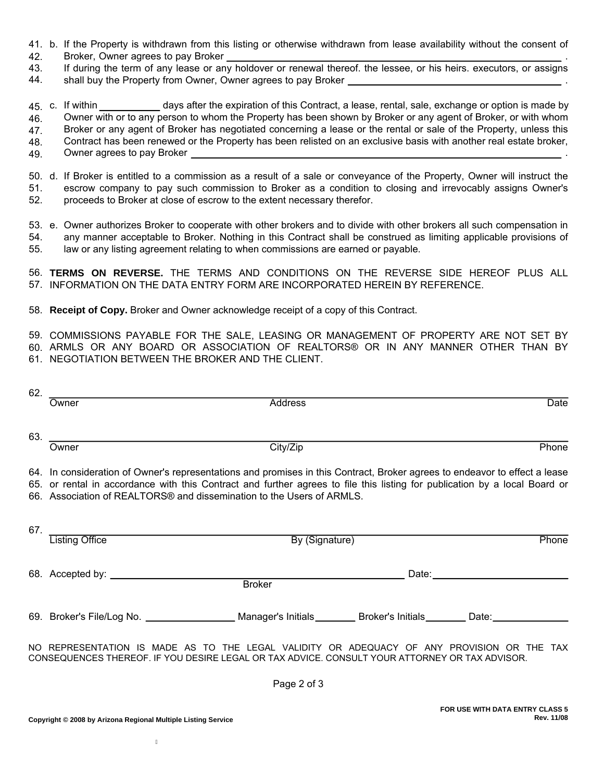- 41. b. If the Property is withdrawn from this listing or otherwise withdrawn from lease availability without the consent of
- Broker, Owner agrees to pay Broker . 42.
- If during the term of any lease or any holdover or renewal thereof. the lessee, or his heirs. executors, or assigns 43.
- 44. shall buy the Property from Owner, Owner agrees to pay Broker .
- 45. c. If within 46. days after the expiration of this Contract, a lease, rental, sale, exchange or option is made by Owner with or to any person to whom the Property has been shown by Broker or any agent of Broker, or with whom
- 47. Broker or any agent of Broker has negotiated concerning a lease or the rental or sale of the Property, unless this
- Contract has been renewed or the Property has been relisted on an exclusive basis with another real estate broker, 48.
- 49. Owner agrees to pay Broker .
- 50. d. If Broker is entitled to a commission as a result of a sale or conveyance of the Property, Owner will instruct the escrow company to pay such commission to Broker as a condition to closing and irrevocably assigns Owner's proceeds to Broker at close of escrow to the extent necessary therefor. 51. 52.
- 55. 53. e. Owner authorizes Broker to cooperate with other brokers and to divide with other brokers all such compensation in 54. any manner acceptable to Broker. Nothing in this Contract shall be construed as limiting applicable provisions of law or any listing agreement relating to when commissions are earned or payable.

56. **TERMS ON REVERSE.** THE TERMS AND CONDITIONS ON THE REVERSE SIDE HEREOF PLUS ALL 57. INFORMATION ON THE DATA ENTRY FORM ARE INCORPORATED HEREIN BY REFERENCE.

58. **Receipt of Copy.** Broker and Owner acknowledge receipt of a copy of this Contract.

59. COMMISSIONS PAYABLE FOR THE SALE, LEASING OR MANAGEMENT OF PROPERTY ARE NOT SET BY

60. ARMLS OR ANY BOARD OR ASSOCIATION OF REALTORS® OR IN ANY MANNER OTHER THAN BY

61. NEGOTIATION BETWEEN THE BROKER AND THE CLIENT.

|             | 62.                                                                                                                                                                                                                                                                                                                               |                                                                                                                                                                                              |  |                                                                                                                                                                                                                                |  |  |  |
|-------------|-----------------------------------------------------------------------------------------------------------------------------------------------------------------------------------------------------------------------------------------------------------------------------------------------------------------------------------|----------------------------------------------------------------------------------------------------------------------------------------------------------------------------------------------|--|--------------------------------------------------------------------------------------------------------------------------------------------------------------------------------------------------------------------------------|--|--|--|
|             | Owner                                                                                                                                                                                                                                                                                                                             | <b>Address</b>                                                                                                                                                                               |  | Date                                                                                                                                                                                                                           |  |  |  |
|             | Owner                                                                                                                                                                                                                                                                                                                             | City/Zip                                                                                                                                                                                     |  | Phone                                                                                                                                                                                                                          |  |  |  |
|             |                                                                                                                                                                                                                                                                                                                                   |                                                                                                                                                                                              |  |                                                                                                                                                                                                                                |  |  |  |
|             | 64. In consideration of Owner's representations and promises in this Contract, Broker agrees to endeavor to effect a lease<br>65. or rental in accordance with this Contract and further agrees to file this listing for publication by a local Board or<br>66. Association of REALTORS® and dissemination to the Users of ARMLS. |                                                                                                                                                                                              |  |                                                                                                                                                                                                                                |  |  |  |
|             |                                                                                                                                                                                                                                                                                                                                   |                                                                                                                                                                                              |  |                                                                                                                                                                                                                                |  |  |  |
|             | 67. Listing Office <b>Example 20</b>                                                                                                                                                                                                                                                                                              | By (Signature)                                                                                                                                                                               |  | Phone                                                                                                                                                                                                                          |  |  |  |
|             |                                                                                                                                                                                                                                                                                                                                   |                                                                                                                                                                                              |  | Date: the contract of the contract of the contract of the contract of the contract of the contract of the contract of the contract of the contract of the contract of the contract of the contract of the contract of the cont |  |  |  |
|             |                                                                                                                                                                                                                                                                                                                                   |                                                                                                                                                                                              |  |                                                                                                                                                                                                                                |  |  |  |
|             |                                                                                                                                                                                                                                                                                                                                   | 69. Broker's File/Log No. ______________________ Manager's Initials_________ Broker's Initials________ Date:_____________________                                                            |  |                                                                                                                                                                                                                                |  |  |  |
|             |                                                                                                                                                                                                                                                                                                                                   | NO REPRESENTATION IS MADE AS TO THE LEGAL VALIDITY OR ADEQUACY OF ANY PROVISION OR THE TAX<br>CONSEQUENCES THEREOF. IF YOU DESIRE LEGAL OR TAX ADVICE. CONSULT YOUR ATTORNEY OR TAX ADVISOR. |  |                                                                                                                                                                                                                                |  |  |  |
| Page 2 of 3 |                                                                                                                                                                                                                                                                                                                                   |                                                                                                                                                                                              |  |                                                                                                                                                                                                                                |  |  |  |
|             |                                                                                                                                                                                                                                                                                                                                   |                                                                                                                                                                                              |  |                                                                                                                                                                                                                                |  |  |  |